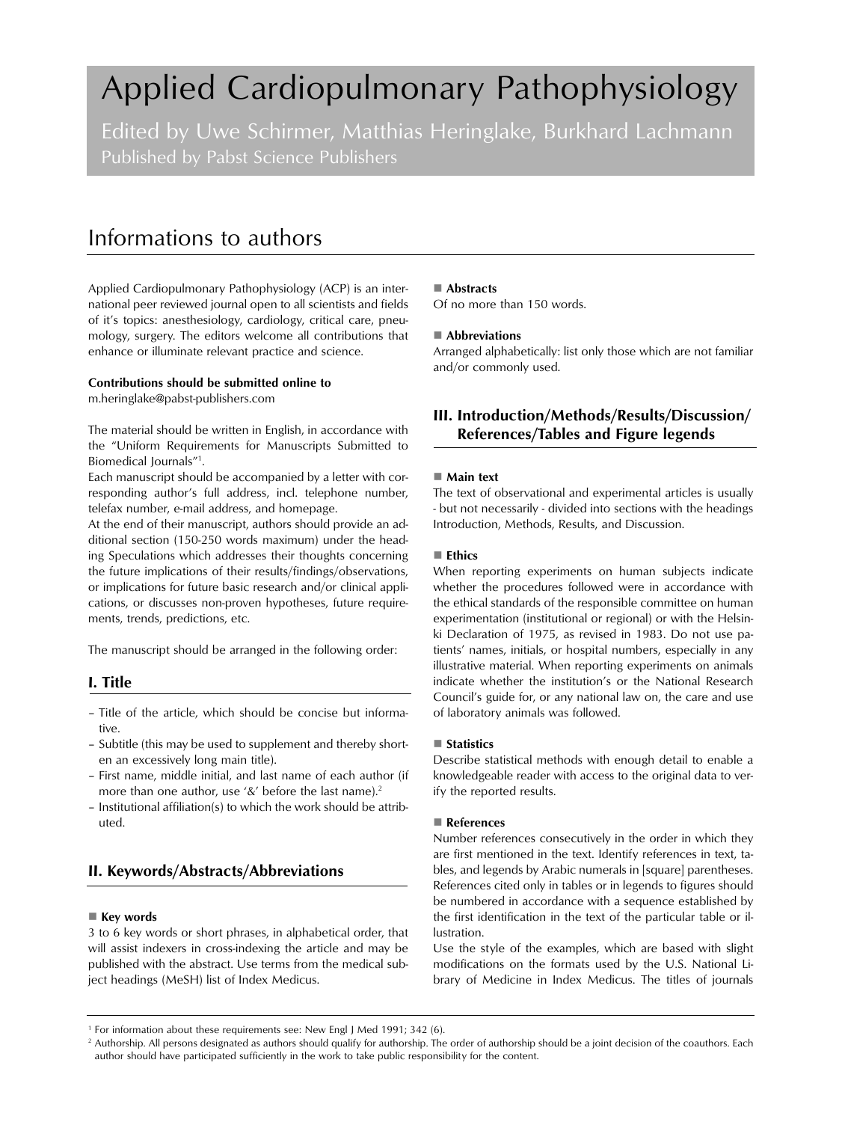# Applied Cardiopulmonary Pathophysiology

Edited by Uwe Schirmer, Matthias Heringlake, Burkhard Lachmann Published by Pabst Science Publishers

# Informations to authors

Applied Cardiopulmonary Pathophysiology (ACP) is an international peer reviewed journal open to all scientists and fields of it's topics: anesthesiology, cardiology, critical care, pneumology, surgery. The editors welcome all contributions that enhance or illuminate relevant practice and science.

#### **Contributions should be submitted online to**

m.heringlake@pabst-publishers.com

The material should be written in English, in accordance with the "Uniform Requirements for Manuscripts Submitted to Biomedical Journals"1.

Each manuscript should be accompanied by a letter with corresponding author's full address, incl. telephone number, telefax number, e-mail address, and homepage.

At the end of their manuscript, authors should provide an additional section (150-250 words maximum) under the heading Speculations which addresses their thoughts concerning the future implications of their results/findings/observations, or implications for future basic research and/or clinical applications, or discusses non-proven hypotheses, future requirements, trends, predictions, etc.

The manuscript should be arranged in the following order:

# **I. Title**

- Title of the article, which should be concise but informative.
- Subtitle (this may be used to supplement and thereby shorten an excessively long main title).
- First name, middle initial, and last name of each author (if more than one author, use '&' before the last name).<sup>2</sup>
- Institutional affiliation(s) to which the work should be attributed.

# **II. Keywords/Abstracts/Abbreviations**

#### ■ Key words

3 to 6 key words or short phrases, in alphabetical order, that will assist indexers in cross-indexing the article and may be published with the abstract. Use terms from the medical subject headings (MeSH) list of Index Medicus.

#### **Abstracts**

Of no more than 150 words.

#### **Abbreviations**

Arranged alphabetically: list only those which are not familiar and/or commonly used.

# **III. Introduction/Methods/Results/Discussion/ References/Tables and Figure legends**

#### **Main text**

The text of observational and experimental articles is usually - but not necessarily - divided into sections with the headings Introduction, Methods, Results, and Discussion.

#### **Ethics**

When reporting experiments on human subjects indicate whether the procedures followed were in accordance with the ethical standards of the responsible committee on human experimentation (institutional or regional) or with the Helsinki Declaration of 1975, as revised in 1983. Do not use patients' names, initials, or hospital numbers, especially in any illustrative material. When reporting experiments on animals indicate whether the institution's or the National Research Council's guide for, or any national law on, the care and use of laboratory animals was followed.

# ■ Statistics

Describe statistical methods with enough detail to enable a knowledgeable reader with access to the original data to verify the reported results.

## **References**

Number references consecutively in the order in which they are first mentioned in the text. Identify references in text, tables, and legends by Arabic numerals in [square] parentheses. References cited only in tables or in legends to figures should be numbered in accordance with a sequence established by the first identification in the text of the particular table or illustration.

Use the style of the examples, which are based with slight modifications on the formats used by the U.S. National Library of Medicine in Index Medicus. The titles of journals

<sup>1</sup> For information about these requirements see: New Engl J Med 1991; 342 (6).

<sup>&</sup>lt;sup>2</sup> Authorship. All persons designated as authors should qualify for authorship. The order of authorship should be a joint decision of the coauthors. Each author should have participated sufficiently in the work to take public responsibility for the content.